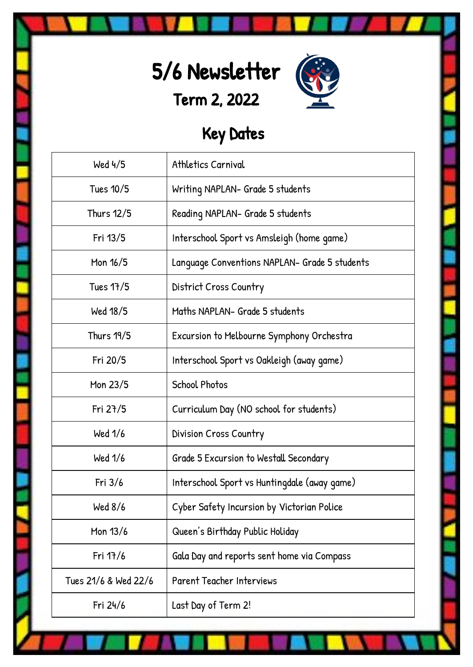



# Key Dates

| Wed 4/5              | Athletics Carnival                            |
|----------------------|-----------------------------------------------|
| Tues 10/5            | Writing NAPLAN- Grade 5 students              |
| Thurs 12/5           | Reading NAPLAN- Grade 5 students              |
| Fri 13/5             | Interschool Sport vs Amsleigh (home game)     |
| Mon 16/5             | Language Conventions NAPLAN- Grade 5 students |
| Tues 17/5            | District Cross Country                        |
| Wed 18/5             | Maths NAPLAN- Grade 5 students                |
| <b>Thurs 19/5</b>    | Excursion to Melbourne Symphony Orchestra     |
| Fri 20/5             | Interschool Sport vs Oakleigh (away game)     |
| Mon 23/5             | <b>School Photos</b>                          |
| Fri $27/5$           | Curriculum Day (NO school for students)       |
| Wed 1/6              | Division Cross Country                        |
| Wed 1/6              | Grade 5 Excursion to Westall Secondary        |
| Fri $3/6$            | Interschool Sport vs Huntingdale (away game)  |
| Wed $8/6$            | Cyber Safety Incursion by Victorian Police    |
| Mon 13/6             | Queen's Birthday Public Holiday               |
| Fri 17/6             | Gala Day and reports sent home via Compass    |
| Tues 21/6 & Wed 22/6 | <b>Parent Teacher Interviews</b>              |
| Fri 24/6             | Last Day of Term 2!                           |